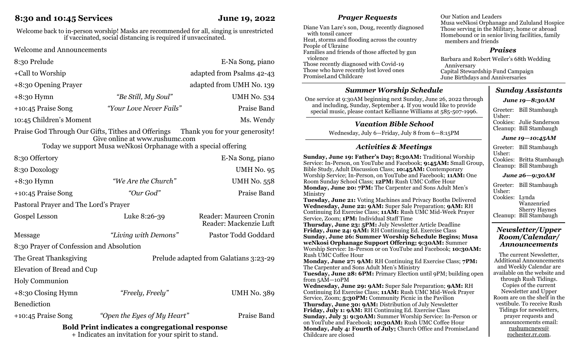# **8:30 and 10:45 Services June 19, 2022**

Welcome back to in-person worship! Masks are recommended for all, singing is unrestricted if vaccinated, social distancing is required if unvaccinated.

Welcome and Announcements

| 8:30 Prelude                                                                                                                                 |                         | E-Na Song, piano               |
|----------------------------------------------------------------------------------------------------------------------------------------------|-------------------------|--------------------------------|
| +Call to Worship                                                                                                                             |                         | adapted from Psalms 42-43      |
| +8:30 Opening Prayer                                                                                                                         |                         | adapted from UMH No. 139       |
| $+8:30$ Hymn                                                                                                                                 | "Be Still, My Soul"     | <b>UMH No. 534</b>             |
| $+10:45$ Praise Song                                                                                                                         | "Your Love Never Fails" | Praise Band                    |
| 10:45 Children's Moment                                                                                                                      |                         | Ms. Wendy                      |
| $D_{\text{noise}}$ $C_{\text{e}}$ <sup><math>d</math></sup> Through $Q_{\text{up}}$ $C_{\text{th}}$ T <sub>ithes</sub> and $Q_{\text{time}}$ |                         | Thank you for your gon aposity |

Praise God Through Our Gifts, Tithes and Offerings Thank you for your generosity! Give online at www.rushumc.com

Today we support Musa weNkosi Orphanage with a special offering

| 8:30 Offertory                                        |                                        | E-Na Song, piano                                 |  |
|-------------------------------------------------------|----------------------------------------|--------------------------------------------------|--|
| 8:30 Doxology                                         |                                        | UMH No. 95                                       |  |
| $+8:30$ Hymn                                          | "We Are the Church"                    | <b>UMH No. 558</b>                               |  |
| +10:45 Praise Song                                    | "Our God"                              | Praise Band                                      |  |
| Pastoral Prayer and The Lord's Prayer                 |                                        |                                                  |  |
| Gospel Lesson                                         | Luke 8:26-39                           | Reader: Maureen Cronin<br>Reader: Mackenzie Luft |  |
| Message                                               | "Living with Demons"                   | Pastor Todd Goddard                              |  |
| 8:30 Prayer of Confession and Absolution              |                                        |                                                  |  |
| The Great Thanksgiving                                | Prelude adapted from Galatians 3:23-29 |                                                  |  |
| Elevation of Bread and Cup                            |                                        |                                                  |  |
| <b>Holy Communion</b>                                 |                                        |                                                  |  |
| $+8:30$ Closing Hymn                                  | "Freely, Freely"                       | <b>UMH No. 389</b>                               |  |
| <b>Benediction</b>                                    |                                        |                                                  |  |
| $+10:45$ Praise Song                                  | "Open the Eyes of My Heart"            | Praise Band                                      |  |
| <b>Bold Print indicates a congregational response</b> |                                        |                                                  |  |

+ Indicates an invitation for your spirit to stand.

## *Prayer Requests*

| Diane Van Lare's son, Doug, recently diagnosed |
|------------------------------------------------|
| with tonsil cancer                             |
| Heat, storms and flooding across the country   |
| People of Ukraine                              |
| Families and friends of those affected by gun  |
| violence                                       |
| Those recently diagnosed with Covid-19         |
| Those who have recently lost loved ones        |
| PromiseLand Childcare                          |
|                                                |

#### *Praises* Barbara and Robert Weiler's 68th Wedding Anniversary Capital Stewardship Fund Campaign

Our Nation and Leaders

members and friends

June Birthdays and Anniversaries

Musa weNkosi Orphanage and Zululand Hospice Those serving in the Military, home or abroad Homebound or in senior living facilities, family

## *Summer Worship Schedule*

One service at 9:30AM beginning next Sunday, June 26, 2022 through and including, Sunday, September 4. If you would like to provide special music, please contact Kellianne Williams at 585-507-1996.

## *Vacation Bible School*

Wednesday, July 6—Friday, July 8 from 6—8:15PM

## *Activities & Meetings*

**Sunday, June 19: Father's Day; 8:30AM:** Traditional Worship Service: In-Person, on YouTube and Facebook; **9:45AM:** Small Group, Bible Study, Adult Discussion Class; **10:45AM:** Contemporary Worship Service; In-Person, on YouTube and Facebook; **11AM:** One Room Sunday School Class; **12PM:** Rush UMC Coffee Hour **Monday, June 20: 7PM:** The Carpenter and Sons Adult Men's Ministry **Tuesday, June 21:** Voting Machines and Privacy Booths Delivered **Wednesday, June 22: 9AM:** Super Sale Preparation; **9AM:** RH Continuing Ed Exercise Class; **11AM:** Rush UMC Mid-Week Prayer Service, Zoom; **1PM:** Individual Staff Time **Thursday, June 23: 5PM:** July Newsletter Article Deadline **Friday, June 24: 9AM:** RH Continuing Ed. Exercise Class **Sunday, June 26: Summer Worship Schedule Begins; Musa weNkosi Orphanage Support Offering; 9:30AM:** Summer Worship Service: In-Person or on YouTube and Facebook; **10:30AM:** Rush UMC Coffee Hour **Monday, June 27: 9AM:** RH Continuing Ed Exercise Class; **7PM:** The Carpenter and Sons Adult Men's Ministry **Tuesday, June 28: 6PM:** Primary Election until 9PM; building open from 5AM—10PM **Wednesday, June 29: 9AM:** Super Sale Preparation; **9AM:** RH Continuing Ed Exercise Class; **11AM:** Rush UMC Mid-Week Prayer Service, Zoom; **5:30PM:** Community Picnic in the Pavilion **Thursday, June 30: 9AM:** Distribution of July Newsletter **Friday, July 1: 9AM:** RH Continuing Ed. Exercise Class **Sunday, July 3: 9:30AM:** Summer Worship Service: In-Person or on YouTube and Facebook; **10:30AM:** Rush UMC Coffee Hour **Monday, July 4: Fourth of July;** Church Office and PromiseLand Childcare are closed

## *Sunday Assistants*

| June 19—8:30AM |  |
|----------------|--|
|----------------|--|

Greeter: Bill Stambaugh Usher: Cookies: Julie Sanderson

Cleanup: Bill Stambaugh

#### *June 19—10:45AM*

Greeter: Bill Stambaugh Usher: Cookies: Britta Stambaugh Cleanup: Bill Stambaugh

#### *June 26—9:30AM*

Greeter: Bill Stambaugh Usher: Cookies: Lynda Wanzenried Sherry Haynes Cleanup: Bill Stambaugh

#### *Newsletter/Upper Room/Calendar/ Announcements*

The current Newsletter, Additional Announcements and Weekly Calendar are available on the website and through Rush Tidings. Copies of the current Newsletter and Upper Room are on the shelf in the vestibule. To receive Rush Tidings for newsletters, prayer requests and announcements email: [rushumcnews@](mailto:rushumcnews@%20rochester.rr.com)  [rochester.rr.com.](mailto:rushumcnews@%20rochester.rr.com)